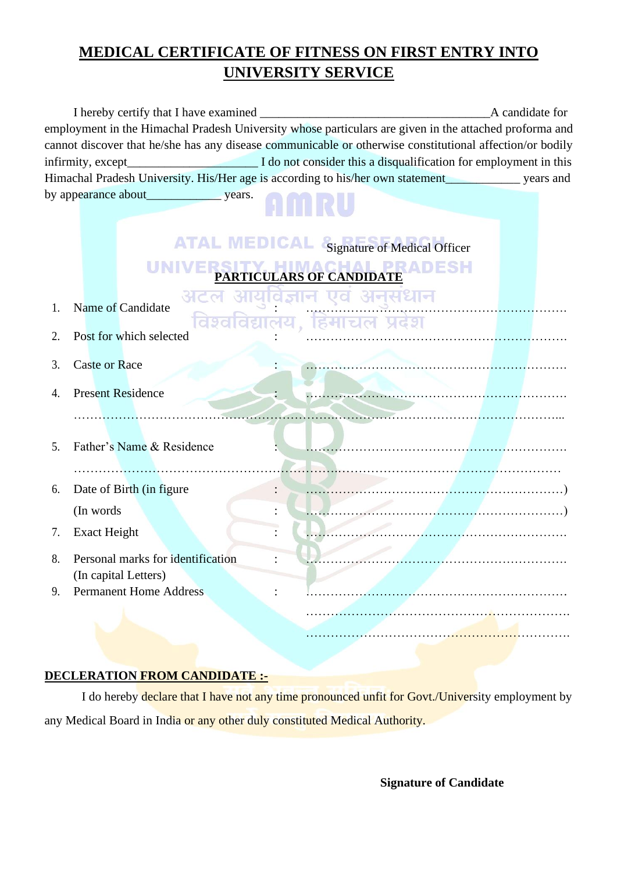## **MEDICAL CERTIFICATE OF FITNESS ON FIRST ENTRY INTO UNIVERSITY SERVICE**

|                                                                                                          | I hereby certify that I have examined |                                                  | A candidate for |  |  |  |  |
|----------------------------------------------------------------------------------------------------------|---------------------------------------|--------------------------------------------------|-----------------|--|--|--|--|
| employment in the Himachal Pradesh University whose particulars are given in the attached proforma and   |                                       |                                                  |                 |  |  |  |  |
| cannot discover that he/she has any disease communicable or otherwise constitutional affection/or bodily |                                       |                                                  |                 |  |  |  |  |
|                                                                                                          |                                       |                                                  |                 |  |  |  |  |
| Himachal Pradesh University. His/Her age is according to his/her own statement______________ years and   |                                       |                                                  |                 |  |  |  |  |
|                                                                                                          |                                       |                                                  |                 |  |  |  |  |
|                                                                                                          |                                       |                                                  |                 |  |  |  |  |
|                                                                                                          |                                       |                                                  |                 |  |  |  |  |
|                                                                                                          |                                       | <b>ATAL MEDICAL</b> Signature of Medical Officer |                 |  |  |  |  |
| PRADESH<br>PARTICULARS OF CANDIDATE                                                                      |                                       |                                                  |                 |  |  |  |  |
| 1.                                                                                                       | <u>ਤੀ ਟ</u><br>Name of Candidate      | यावज्ञान एव अनसधान                               |                 |  |  |  |  |
|                                                                                                          |                                       | विश्वविद्यालय, हिमाचल प्रदेश                     |                 |  |  |  |  |
| 2.                                                                                                       | Post for which selected               |                                                  |                 |  |  |  |  |
| 3.                                                                                                       | <b>Caste or Race</b>                  |                                                  |                 |  |  |  |  |
|                                                                                                          |                                       |                                                  |                 |  |  |  |  |
| 4.                                                                                                       | <b>Present Residence</b>              |                                                  |                 |  |  |  |  |
|                                                                                                          |                                       |                                                  |                 |  |  |  |  |
|                                                                                                          |                                       |                                                  |                 |  |  |  |  |
| 5.                                                                                                       | Father's Name & Residence             |                                                  |                 |  |  |  |  |
|                                                                                                          |                                       |                                                  |                 |  |  |  |  |
| 6.                                                                                                       | Date of Birth (in figure              |                                                  |                 |  |  |  |  |
|                                                                                                          | (In words)                            |                                                  |                 |  |  |  |  |
|                                                                                                          |                                       |                                                  |                 |  |  |  |  |
| 7.                                                                                                       | <b>Exact Height</b>                   |                                                  |                 |  |  |  |  |
| 8.                                                                                                       | Personal marks for identification     |                                                  |                 |  |  |  |  |
|                                                                                                          | (In capital Letters)                  |                                                  |                 |  |  |  |  |
| 9.                                                                                                       | <b>Permanent Home Address</b>         |                                                  |                 |  |  |  |  |
|                                                                                                          |                                       |                                                  |                 |  |  |  |  |
|                                                                                                          |                                       |                                                  |                 |  |  |  |  |

### **DECLERATION FROM CANDIDATE :-**

I do hereby declare that I have not any time pronounced unfit for Govt./University employment by any Medical Board in India or any other duly constituted Medical Authority.

**Signature of Candidate**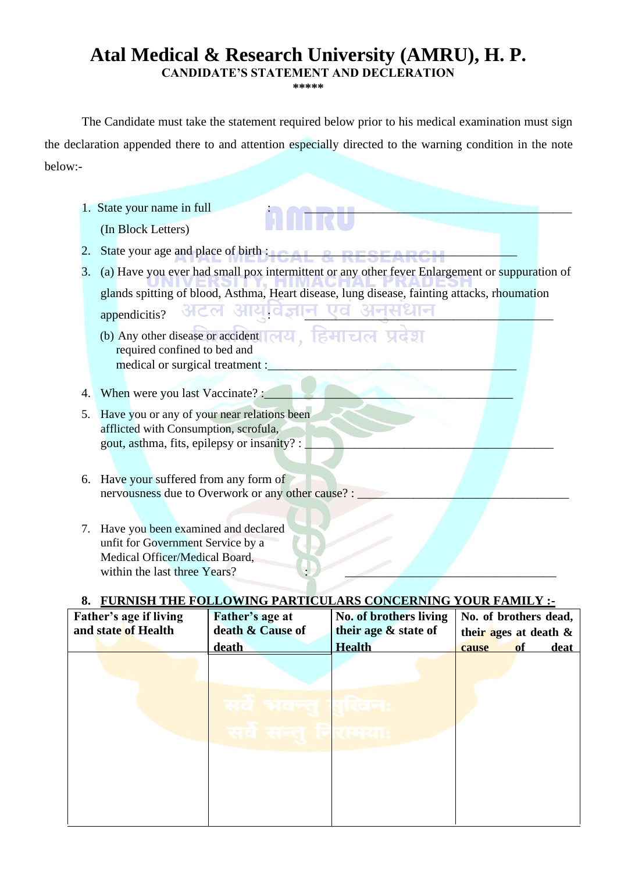# **Atal Medical & Research University (AMRU), H. P.**

**CANDIDATE'S STATEMENT AND DECLERATION** 

**\*\*\*\*\***

The Candidate must take the statement required below prior to his medical examination must sign the declaration appended there to and attention especially directed to the warning condition in the note below:-

- 1. State your name in full (In Block Letters) 2. State your age and place of birth : $\blacksquare$ 3. (a) Have you ever had small pox intermittent or any other fever Enlargement or suppuration of glands spitting of blood, Asthma, Heart disease, lung disease, fainting attacks, rhoumation appendicitis? अटल आयुर्विज्ञान एवं अनुसंधान (b) Any other disease or accident | 어리, 동네리어 사랑이 required confined to bed and medical or surgical treatment : 4. When were you last Vaccinate? : 5. Have you or any of your near relations been afflicted with Consumption, scrofula, gout, asthma, fits, epilepsy or insanity? : 6. Have your suffered from any form of nervousness due to Overwork or any other cause? :
	- 7. Have you been examined and declared unfit for Government Service by a Medical Officer/Medical Board, within the last three Years?

### **8. FURNISH THE FOLLOWING PARTICULARS CONCERNING YOUR FAMILY :-**

| Father's age if living<br>and state of Health | Father's age at<br>death & Cause of | No. of brothers living<br>their age & state of | No. of brothers dead,     |
|-----------------------------------------------|-------------------------------------|------------------------------------------------|---------------------------|
|                                               |                                     |                                                | their ages at death $\&$  |
|                                               | death                               | <b>Health</b>                                  | $\bf{0}$<br>deat<br>cause |
|                                               |                                     |                                                |                           |